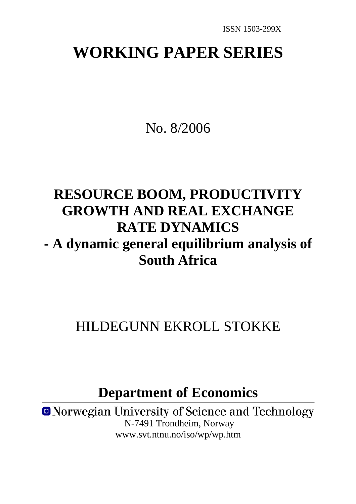# **WORKING PAPER SERIES**

No. 8/2006

# **RESOURCE BOOM, PRODUCTIVITY GROWTH AND REAL EXCHANGE RATE DYNAMICS - A dynamic general equilibrium analysis of South Africa**

# HILDEGUNN EKROLL STOKKE

**Department of Economics**

**ONorwegian University of Science and Technology**  N-7491 Trondheim, Norway www.svt.ntnu.no/iso/wp/wp.htm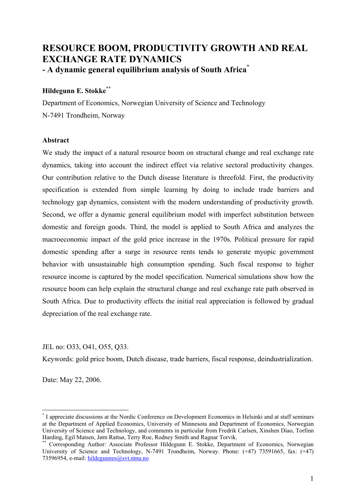# **RESOURCE BOOM, PRODUCTIVITY GROWTH AND REAL EXCHANGE RATE DYNAMICS - A dynamic general equilibrium analysis of South Africa\***

# **Hildegunn E. Stokke\*\***

Department of Economics, Norwegian University of Science and Technology N-7491 Trondheim, Norway

# **Abstract**

We study the impact of a natural resource boom on structural change and real exchange rate dynamics, taking into account the indirect effect via relative sectoral productivity changes. Our contribution relative to the Dutch disease literature is threefold. First, the productivity specification is extended from simple learning by doing to include trade barriers and technology gap dynamics, consistent with the modern understanding of productivity growth. Second, we offer a dynamic general equilibrium model with imperfect substitution between domestic and foreign goods. Third, the model is applied to South Africa and analyzes the macroeconomic impact of the gold price increase in the 1970s. Political pressure for rapid domestic spending after a surge in resource rents tends to generate myopic government behavior with unsustainable high consumption spending. Such fiscal response to higher resource income is captured by the model specification. Numerical simulations show how the resource boom can help explain the structural change and real exchange rate path observed in South Africa. Due to productivity effects the initial real appreciation is followed by gradual depreciation of the real exchange rate.

JEL no: O33, O41, O55, Q33.

Keywords: gold price boom, Dutch disease, trade barriers, fiscal response, deindustrialization.

Date: May 22, 2006.

1

<sup>\*</sup> I appreciate discussions at the Nordic Conference on Development Economics in Helsinki and at staff seminars at the Department of Applied Economics, University of Minnesota and Department of Economics, Norwegian University of Science and Technology, and comments in particular from Fredrik Carlsen, Xinshen Diao, Torfinn Harding, Egil Matsen, Jørn Rattsø, Terry Roe, Rodney Smith and Ragnar Torvik.

Corresponding Author: Associate Professor Hildegunn E. Stokke, Department of Economics, Norwegian University of Science and Technology, N-7491 Trondheim, Norway. Phone: (+47) 73591665, fax: (+47) 73596954, e-mail: hildegunnes@svt.ntnu.no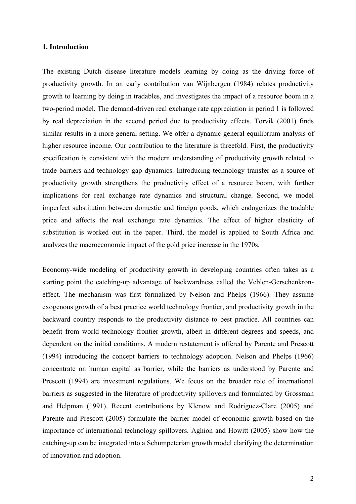## **1. Introduction**

The existing Dutch disease literature models learning by doing as the driving force of productivity growth. In an early contribution van Wijnbergen (1984) relates productivity growth to learning by doing in tradables, and investigates the impact of a resource boom in a two-period model. The demand-driven real exchange rate appreciation in period 1 is followed by real depreciation in the second period due to productivity effects. Torvik (2001) finds similar results in a more general setting. We offer a dynamic general equilibrium analysis of higher resource income. Our contribution to the literature is threefold. First, the productivity specification is consistent with the modern understanding of productivity growth related to trade barriers and technology gap dynamics. Introducing technology transfer as a source of productivity growth strengthens the productivity effect of a resource boom, with further implications for real exchange rate dynamics and structural change. Second, we model imperfect substitution between domestic and foreign goods, which endogenizes the tradable price and affects the real exchange rate dynamics. The effect of higher elasticity of substitution is worked out in the paper. Third, the model is applied to South Africa and analyzes the macroeconomic impact of the gold price increase in the 1970s.

Economy-wide modeling of productivity growth in developing countries often takes as a starting point the catching-up advantage of backwardness called the Veblen-Gerschenkroneffect. The mechanism was first formalized by Nelson and Phelps (1966). They assume exogenous growth of a best practice world technology frontier, and productivity growth in the backward country responds to the productivity distance to best practice. All countries can benefit from world technology frontier growth, albeit in different degrees and speeds, and dependent on the initial conditions. A modern restatement is offered by Parente and Prescott (1994) introducing the concept barriers to technology adoption. Nelson and Phelps (1966) concentrate on human capital as barrier, while the barriers as understood by Parente and Prescott (1994) are investment regulations. We focus on the broader role of international barriers as suggested in the literature of productivity spillovers and formulated by Grossman and Helpman (1991). Recent contributions by Klenow and Rodriguez-Clare (2005) and Parente and Prescott (2005) formulate the barrier model of economic growth based on the importance of international technology spillovers. Aghion and Howitt (2005) show how the catching-up can be integrated into a Schumpeterian growth model clarifying the determination of innovation and adoption.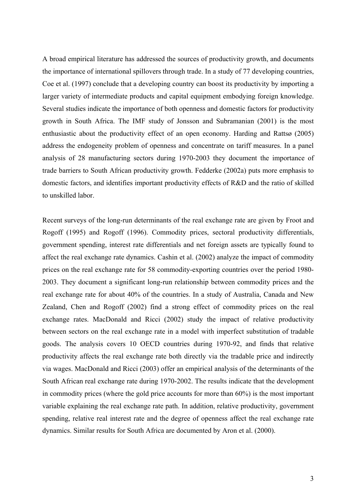A broad empirical literature has addressed the sources of productivity growth, and documents the importance of international spillovers through trade. In a study of 77 developing countries, Coe et al. (1997) conclude that a developing country can boost its productivity by importing a larger variety of intermediate products and capital equipment embodying foreign knowledge. Several studies indicate the importance of both openness and domestic factors for productivity growth in South Africa. The IMF study of Jonsson and Subramanian (2001) is the most enthusiastic about the productivity effect of an open economy. Harding and Rattsø (2005) address the endogeneity problem of openness and concentrate on tariff measures. In a panel analysis of 28 manufacturing sectors during 1970-2003 they document the importance of trade barriers to South African productivity growth. Fedderke (2002a) puts more emphasis to domestic factors, and identifies important productivity effects of R&D and the ratio of skilled to unskilled labor.

Recent surveys of the long-run determinants of the real exchange rate are given by Froot and Rogoff (1995) and Rogoff (1996). Commodity prices, sectoral productivity differentials, government spending, interest rate differentials and net foreign assets are typically found to affect the real exchange rate dynamics. Cashin et al. (2002) analyze the impact of commodity prices on the real exchange rate for 58 commodity-exporting countries over the period 1980- 2003. They document a significant long-run relationship between commodity prices and the real exchange rate for about 40% of the countries. In a study of Australia, Canada and New Zealand, Chen and Rogoff (2002) find a strong effect of commodity prices on the real exchange rates. MacDonald and Ricci (2002) study the impact of relative productivity between sectors on the real exchange rate in a model with imperfect substitution of tradable goods. The analysis covers 10 OECD countries during 1970-92, and finds that relative productivity affects the real exchange rate both directly via the tradable price and indirectly via wages. MacDonald and Ricci (2003) offer an empirical analysis of the determinants of the South African real exchange rate during 1970-2002. The results indicate that the development in commodity prices (where the gold price accounts for more than 60%) is the most important variable explaining the real exchange rate path. In addition, relative productivity, government spending, relative real interest rate and the degree of openness affect the real exchange rate dynamics. Similar results for South Africa are documented by Aron et al. (2000).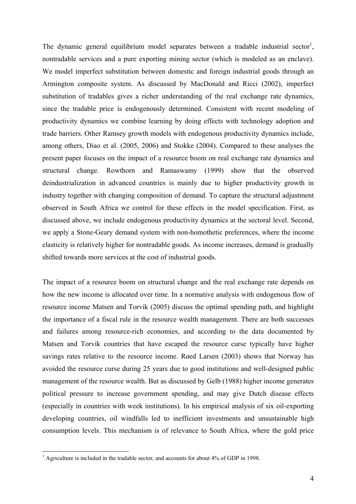The dynamic general equilibrium model separates between a tradable industrial sector<sup>1</sup>, nontradable services and a pure exporting mining sector (which is modeled as an enclave). We model imperfect substitution between domestic and foreign industrial goods through an Armington composite system. As discussed by MacDonald and Ricci (2002), imperfect substitution of tradables gives a richer understanding of the real exchange rate dynamics, since the tradable price is endogenously determined. Consistent with recent modeling of productivity dynamics we combine learning by doing effects with technology adoption and trade barriers. Other Ramsey growth models with endogenous productivity dynamics include, among others, Diao et al. (2005, 2006) and Stokke (2004). Compared to these analyses the present paper focuses on the impact of a resource boom on real exchange rate dynamics and structural change. Rowthorn and Ramaswamy (1999) show that the observed deindustrialization in advanced countries is mainly due to higher productivity growth in industry together with changing composition of demand. To capture the structural adjustment observed in South Africa we control for these effects in the model specification. First, as discussed above, we include endogenous productivity dynamics at the sectoral level. Second, we apply a Stone-Geary demand system with non-homothetic preferences, where the income elasticity is relatively higher for nontradable goods. As income increases, demand is gradually shifted towards more services at the cost of industrial goods.

The impact of a resource boom on structural change and the real exchange rate depends on how the new income is allocated over time. In a normative analysis with endogenous flow of resource income Matsen and Torvik (2005) discuss the optimal spending path, and highlight the importance of a fiscal rule in the resource wealth management. There are both successes and failures among resource-rich economies, and according to the data documented by Matsen and Torvik countries that have escaped the resource curse typically have higher savings rates relative to the resource income. Røed Larsen (2003) shows that Norway has avoided the resource curse during 25 years due to good institutions and well-designed public management of the resource wealth. But as discussed by Gelb (1988) higher income generates political pressure to increase government spending, and may give Dutch disease effects (especially in countries with week institutions). In his empirical analysis of six oil-exporting developing countries, oil windfalls led to inefficient investments and unsustainable high consumption levels. This mechanism is of relevance to South Africa, where the gold price

 $\overline{a}$ 

<sup>&</sup>lt;sup>1</sup> Agriculture is included in the tradable sector, and accounts for about 4% of GDP in 1998.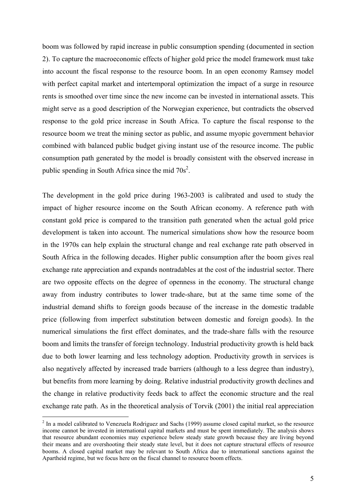boom was followed by rapid increase in public consumption spending (documented in section 2). To capture the macroeconomic effects of higher gold price the model framework must take into account the fiscal response to the resource boom. In an open economy Ramsey model with perfect capital market and intertemporal optimization the impact of a surge in resource rents is smoothed over time since the new income can be invested in international assets. This might serve as a good description of the Norwegian experience, but contradicts the observed response to the gold price increase in South Africa. To capture the fiscal response to the resource boom we treat the mining sector as public, and assume myopic government behavior combined with balanced public budget giving instant use of the resource income. The public consumption path generated by the model is broadly consistent with the observed increase in public spending in South Africa since the mid  $70s^2$ .

The development in the gold price during 1963-2003 is calibrated and used to study the impact of higher resource income on the South African economy. A reference path with constant gold price is compared to the transition path generated when the actual gold price development is taken into account. The numerical simulations show how the resource boom in the 1970s can help explain the structural change and real exchange rate path observed in South Africa in the following decades. Higher public consumption after the boom gives real exchange rate appreciation and expands nontradables at the cost of the industrial sector. There are two opposite effects on the degree of openness in the economy. The structural change away from industry contributes to lower trade-share, but at the same time some of the industrial demand shifts to foreign goods because of the increase in the domestic tradable price (following from imperfect substitution between domestic and foreign goods). In the numerical simulations the first effect dominates, and the trade-share falls with the resource boom and limits the transfer of foreign technology. Industrial productivity growth is held back due to both lower learning and less technology adoption. Productivity growth in services is also negatively affected by increased trade barriers (although to a less degree than industry), but benefits from more learning by doing. Relative industrial productivity growth declines and the change in relative productivity feeds back to affect the economic structure and the real exchange rate path. As in the theoretical analysis of Torvik (2001) the initial real appreciation

1

 $2$  In a model calibrated to Venezuela Rodriguez and Sachs (1999) assume closed capital market, so the resource income cannot be invested in international capital markets and must be spent immediately. The analysis shows that resource abundant economies may experience below steady state growth because they are living beyond their means and are overshooting their steady state level, but it does not capture structural effects of resource booms. A closed capital market may be relevant to South Africa due to international sanctions against the Apartheid regime, but we focus here on the fiscal channel to resource boom effects.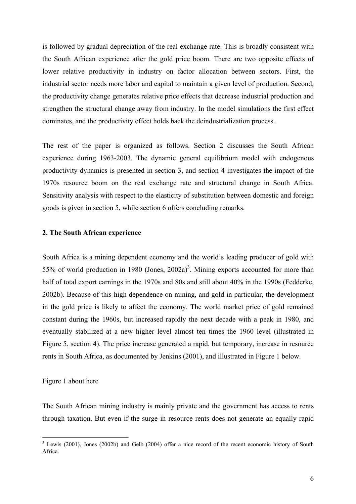is followed by gradual depreciation of the real exchange rate. This is broadly consistent with the South African experience after the gold price boom. There are two opposite effects of lower relative productivity in industry on factor allocation between sectors. First, the industrial sector needs more labor and capital to maintain a given level of production. Second, the productivity change generates relative price effects that decrease industrial production and strengthen the structural change away from industry. In the model simulations the first effect dominates, and the productivity effect holds back the deindustrialization process.

The rest of the paper is organized as follows. Section 2 discusses the South African experience during 1963-2003. The dynamic general equilibrium model with endogenous productivity dynamics is presented in section 3, and section 4 investigates the impact of the 1970s resource boom on the real exchange rate and structural change in South Africa. Sensitivity analysis with respect to the elasticity of substitution between domestic and foreign goods is given in section 5, while section 6 offers concluding remarks.

# **2. The South African experience**

South Africa is a mining dependent economy and the world's leading producer of gold with 55% of world production in 1980 (Jones,  $2002a$ )<sup>3</sup>. Mining exports accounted for more than half of total export earnings in the 1970s and 80s and still about 40% in the 1990s (Fedderke, 2002b). Because of this high dependence on mining, and gold in particular, the development in the gold price is likely to affect the economy. The world market price of gold remained constant during the 1960s, but increased rapidly the next decade with a peak in 1980, and eventually stabilized at a new higher level almost ten times the 1960 level (illustrated in Figure 5, section 4). The price increase generated a rapid, but temporary, increase in resource rents in South Africa, as documented by Jenkins (2001), and illustrated in Figure 1 below.

# Figure 1 about here

The South African mining industry is mainly private and the government has access to rents through taxation. But even if the surge in resource rents does not generate an equally rapid

<sup>&</sup>lt;sup>3</sup> Lewis (2001), Jones (2002b) and Gelb (2004) offer a nice record of the recent economic history of South Africa.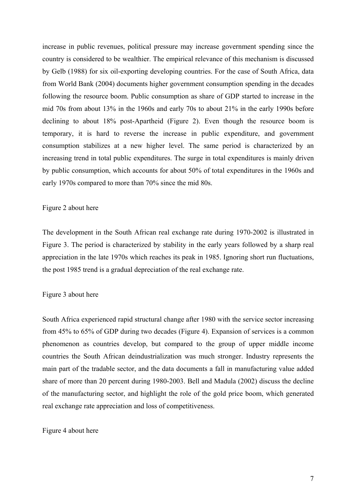increase in public revenues, political pressure may increase government spending since the country is considered to be wealthier. The empirical relevance of this mechanism is discussed by Gelb (1988) for six oil-exporting developing countries. For the case of South Africa, data from World Bank (2004) documents higher government consumption spending in the decades following the resource boom. Public consumption as share of GDP started to increase in the mid 70s from about 13% in the 1960s and early 70s to about 21% in the early 1990s before declining to about 18% post-Apartheid (Figure 2). Even though the resource boom is temporary, it is hard to reverse the increase in public expenditure, and government consumption stabilizes at a new higher level. The same period is characterized by an increasing trend in total public expenditures. The surge in total expenditures is mainly driven by public consumption, which accounts for about 50% of total expenditures in the 1960s and early 1970s compared to more than 70% since the mid 80s.

#### Figure 2 about here

The development in the South African real exchange rate during 1970-2002 is illustrated in Figure 3. The period is characterized by stability in the early years followed by a sharp real appreciation in the late 1970s which reaches its peak in 1985. Ignoring short run fluctuations, the post 1985 trend is a gradual depreciation of the real exchange rate.

#### Figure 3 about here

South Africa experienced rapid structural change after 1980 with the service sector increasing from 45% to 65% of GDP during two decades (Figure 4). Expansion of services is a common phenomenon as countries develop, but compared to the group of upper middle income countries the South African deindustrialization was much stronger. Industry represents the main part of the tradable sector, and the data documents a fall in manufacturing value added share of more than 20 percent during 1980-2003. Bell and Madula (2002) discuss the decline of the manufacturing sector, and highlight the role of the gold price boom, which generated real exchange rate appreciation and loss of competitiveness.

#### Figure 4 about here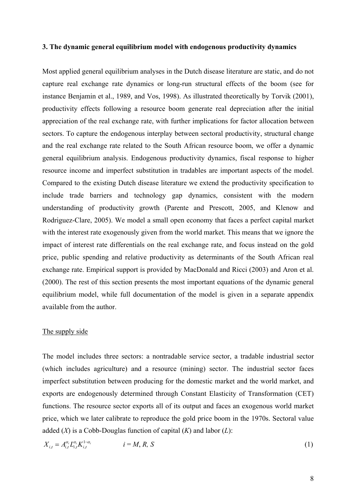#### **3. The dynamic general equilibrium model with endogenous productivity dynamics**

Most applied general equilibrium analyses in the Dutch disease literature are static, and do not capture real exchange rate dynamics or long-run structural effects of the boom (see for instance Benjamin et al., 1989, and Vos, 1998). As illustrated theoretically by Torvik (2001), productivity effects following a resource boom generate real depreciation after the initial appreciation of the real exchange rate, with further implications for factor allocation between sectors. To capture the endogenous interplay between sectoral productivity, structural change and the real exchange rate related to the South African resource boom, we offer a dynamic general equilibrium analysis. Endogenous productivity dynamics, fiscal response to higher resource income and imperfect substitution in tradables are important aspects of the model. Compared to the existing Dutch disease literature we extend the productivity specification to include trade barriers and technology gap dynamics, consistent with the modern understanding of productivity growth (Parente and Prescott, 2005, and Klenow and Rodriguez-Clare, 2005). We model a small open economy that faces a perfect capital market with the interest rate exogenously given from the world market. This means that we ignore the impact of interest rate differentials on the real exchange rate, and focus instead on the gold price, public spending and relative productivity as determinants of the South African real exchange rate. Empirical support is provided by MacDonald and Ricci (2003) and Aron et al. (2000). The rest of this section presents the most important equations of the dynamic general equilibrium model, while full documentation of the model is given in a separate appendix available from the author.

#### The supply side

The model includes three sectors: a nontradable service sector, a tradable industrial sector (which includes agriculture) and a resource (mining) sector. The industrial sector faces imperfect substitution between producing for the domestic market and the world market, and exports are endogenously determined through Constant Elasticity of Transformation (CET) functions. The resource sector exports all of its output and faces an exogenous world market price, which we later calibrate to reproduce the gold price boom in the 1970s. Sectoral value added (*X*) is a Cobb-Douglas function of capital (*K*) and labor (*L*):

$$
X_{i,t} = A_{i,t}^{\alpha_i} L_{i,t}^{\alpha_i} K_{i,t}^{1-\alpha_i} \qquad i = M, R, S
$$
 (1)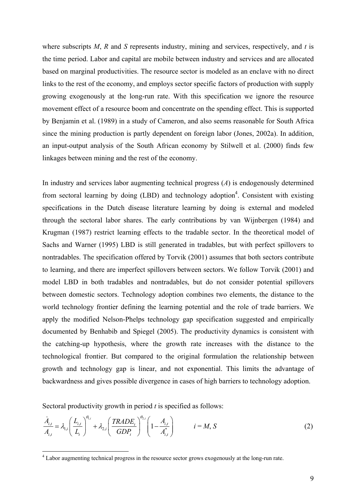where subscripts *M*, *R* and *S* represents industry, mining and services, respectively, and *t* is the time period. Labor and capital are mobile between industry and services and are allocated based on marginal productivities. The resource sector is modeled as an enclave with no direct links to the rest of the economy, and employs sector specific factors of production with supply growing exogenously at the long-run rate. With this specification we ignore the resource movement effect of a resource boom and concentrate on the spending effect. This is supported by Benjamin et al. (1989) in a study of Cameron, and also seems reasonable for South Africa since the mining production is partly dependent on foreign labor (Jones, 2002a). In addition, an input-output analysis of the South African economy by Stilwell et al. (2000) finds few linkages between mining and the rest of the economy.

In industry and services labor augmenting technical progress (*A*) is endogenously determined from sectoral learning by doing  $(LBD)$  and technology adoption<sup>4</sup>. Consistent with existing specifications in the Dutch disease literature learning by doing is external and modeled through the sectoral labor shares. The early contributions by van Wijnbergen (1984) and Krugman (1987) restrict learning effects to the tradable sector. In the theoretical model of Sachs and Warner (1995) LBD is still generated in tradables, but with perfect spillovers to nontradables. The specification offered by Torvik (2001) assumes that both sectors contribute to learning, and there are imperfect spillovers between sectors. We follow Torvik (2001) and model LBD in both tradables and nontradables, but do not consider potential spillovers between domestic sectors. Technology adoption combines two elements, the distance to the world technology frontier defining the learning potential and the role of trade barriers. We apply the modified Nelson-Phelps technology gap specification suggested and empirically documented by Benhabib and Spiegel (2005). The productivity dynamics is consistent with the catching-up hypothesis, where the growth rate increases with the distance to the technological frontier. But compared to the original formulation the relationship between growth and technology gap is linear, and not exponential. This limits the advantage of backwardness and gives possible divergence in cases of high barriers to technology adoption.

Sectoral productivity growth in period *t* is specified as follows:

1

$$
\frac{\dot{A}_{i,t}}{A_{i,t}} = \lambda_{1,i} \left( \frac{L_{i,t}}{L_t} \right)^{\theta_{1,i}} + \lambda_{2,i} \left( \frac{TRADE_t}{GDP_t} \right)^{\theta_{2,i}} \left( 1 - \frac{A_{i,t}}{A_{i,t}^*} \right) \qquad i = M, S
$$
\n(2)

<sup>&</sup>lt;sup>4</sup> Labor augmenting technical progress in the resource sector grows exogenously at the long-run rate.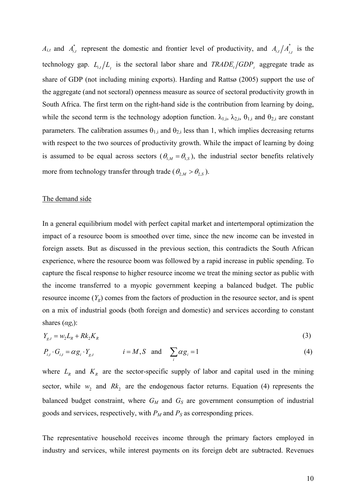$A_{i,t}$  and  $A_{i,t}^*$  represent the domestic and frontier level of productivity, and  $A_{i,t}/A_{i,t}^*$  is the technology gap.  $L_{i,t}/L_{i}$  is the sectoral labor share and  $TRADE_{i}/GDP_{i}$  aggregate trade as share of GDP (not including mining exports). Harding and Rattsø (2005) support the use of the aggregate (and not sectoral) openness measure as source of sectoral productivity growth in South Africa. The first term on the right-hand side is the contribution from learning by doing, while the second term is the technology adoption function.  $\lambda_{1,i}$ ,  $\lambda_{2,i}$ ,  $\theta_{1,i}$  and  $\theta_{2,i}$  are constant parameters. The calibration assumes  $\theta_{1,i}$  and  $\theta_{2,i}$  less than 1, which implies decreasing returns with respect to the two sources of productivity growth. While the impact of learning by doing is assumed to be equal across sectors ( $\theta_{1,M} = \theta_{1,S}$ ), the industrial sector benefits relatively more from technology transfer through trade ( $\theta_{2,M} > \theta_{2,S}$ ).

#### The demand side

In a general equilibrium model with perfect capital market and intertemporal optimization the impact of a resource boom is smoothed over time, since the new income can be invested in foreign assets. But as discussed in the previous section, this contradicts the South African experience, where the resource boom was followed by a rapid increase in public spending. To capture the fiscal response to higher resource income we treat the mining sector as public with the income transferred to a myopic government keeping a balanced budget. The public resource income  $(Y_g)$  comes from the factors of production in the resource sector, and is spent on a mix of industrial goods (both foreign and domestic) and services according to constant shares  $(\alpha g_i)$ :

$$
Y_{g,t} = w_2 L_R + R k_2 K_R \tag{3}
$$

$$
P_{i,t} \cdot G_{i,t} = \alpha g_i \cdot Y_{g,t} \qquad i = M, S \text{ and } \sum_i \alpha g_i = 1 \qquad (4)
$$

where  $L_R$  and  $K_R$  are the sector-specific supply of labor and capital used in the mining sector, while  $w_2$  and  $Rk_2$  are the endogenous factor returns. Equation (4) represents the balanced budget constraint, where  $G_M$  and  $G_S$  are government consumption of industrial goods and services, respectively, with  $P_M$  and  $P_S$  as corresponding prices.

The representative household receives income through the primary factors employed in industry and services, while interest payments on its foreign debt are subtracted. Revenues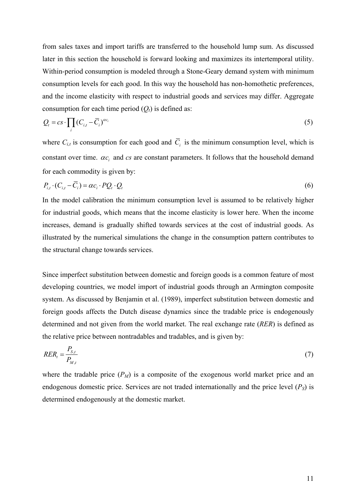from sales taxes and import tariffs are transferred to the household lump sum. As discussed later in this section the household is forward looking and maximizes its intertemporal utility. Within-period consumption is modeled through a Stone-Geary demand system with minimum consumption levels for each good. In this way the household has non-homothetic preferences, and the income elasticity with respect to industrial goods and services may differ. Aggregate consumption for each time period  $(O_t)$  is defined as:

$$
Q_{t} = cs \cdot \prod_{i} (C_{i,t} - \overline{C}_{i})^{\alpha c_{i}}
$$
\n
$$
(5)
$$

where  $C_{i,t}$  is consumption for each good and  $\overline{C}_i$  is the minimum consumption level, which is constant over time.  $\alpha c_i$  and  $c_s$  are constant parameters. It follows that the household demand for each commodity is given by:

$$
P_{i,t} \cdot (C_{i,t} - \overline{C}_i) = \alpha c_i \cdot PQ_t \cdot Q_t \tag{6}
$$

In the model calibration the minimum consumption level is assumed to be relatively higher for industrial goods, which means that the income elasticity is lower here. When the income increases, demand is gradually shifted towards services at the cost of industrial goods. As illustrated by the numerical simulations the change in the consumption pattern contributes to the structural change towards services.

Since imperfect substitution between domestic and foreign goods is a common feature of most developing countries, we model import of industrial goods through an Armington composite system. As discussed by Benjamin et al. (1989), imperfect substitution between domestic and foreign goods affects the Dutch disease dynamics since the tradable price is endogenously determined and not given from the world market. The real exchange rate (*RER*) is defined as the relative price between nontradables and tradables, and is given by:

$$
RER_t = \frac{P_{S,t}}{P_{M,t}}\tag{7}
$$

where the tradable price  $(P_M)$  is a composite of the exogenous world market price and an endogenous domestic price. Services are not traded internationally and the price level  $(P<sub>S</sub>)$  is determined endogenously at the domestic market.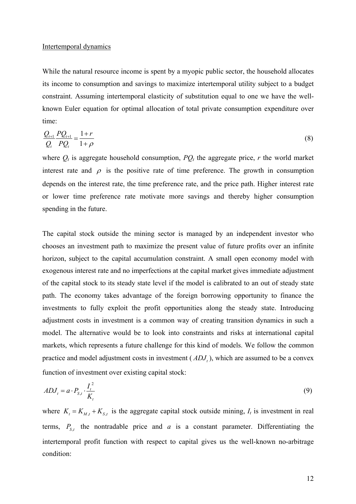#### Intertemporal dynamics

While the natural resource income is spent by a myopic public sector, the household allocates its income to consumption and savings to maximize intertemporal utility subject to a budget constraint. Assuming intertemporal elasticity of substitution equal to one we have the wellknown Euler equation for optimal allocation of total private consumption expenditure over time:

$$
\frac{Q_{t+1}}{Q_t} \frac{P Q_{t+1}}{P Q_t} = \frac{1+r}{1+\rho}
$$
\n(8)

where  $Q_t$  is aggregate household consumption,  $PQ_t$  the aggregate price, r the world market interest rate and  $\rho$  is the positive rate of time preference. The growth in consumption depends on the interest rate, the time preference rate, and the price path. Higher interest rate or lower time preference rate motivate more savings and thereby higher consumption spending in the future.

The capital stock outside the mining sector is managed by an independent investor who chooses an investment path to maximize the present value of future profits over an infinite horizon, subject to the capital accumulation constraint. A small open economy model with exogenous interest rate and no imperfections at the capital market gives immediate adjustment of the capital stock to its steady state level if the model is calibrated to an out of steady state path. The economy takes advantage of the foreign borrowing opportunity to finance the investments to fully exploit the profit opportunities along the steady state. Introducing adjustment costs in investment is a common way of creating transition dynamics in such a model. The alternative would be to look into constraints and risks at international capital markets, which represents a future challenge for this kind of models. We follow the common practice and model adjustment costs in investment  $(ADJ_t)$ , which are assumed to be a convex function of investment over existing capital stock:

$$
ADJ_t = a \cdot P_{S,t} \cdot \frac{I_t^2}{K_t} \tag{9}
$$

where  $K_t = K_{t} + K_{s}$  is the aggregate capital stock outside mining,  $I_t$  is investment in real terms,  $P_{S,t}$  the nontradable price and *a* is a constant parameter. Differentiating the intertemporal profit function with respect to capital gives us the well-known no-arbitrage condition: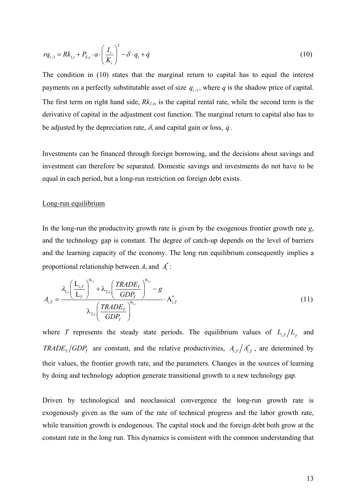$$
rq_{t-1} = Rk_{1,t} + P_{S,t} \cdot a \cdot \left(\frac{I_t}{K_t}\right)^2 - \delta \cdot q_t + \dot{q}
$$
\n(10)

The condition in (10) states that the marginal return to capital has to equal the interest payments on a perfectly substitutable asset of size  $q_{t-1}$ , where q is the shadow price of capital. The first term on right hand side,  $Rk_{1,t}$ , is the capital rental rate, while the second term is the derivative of capital in the adjustment cost function. The marginal return to capital also has to be adjusted by the depreciation rate,  $\delta$ , and capital gain or loss,  $\dot{q}$ .

Investments can be financed through foreign borrowing, and the decisions about savings and investment can therefore be separated. Domestic savings and investments do not have to be equal in each period, but a long-run restriction on foreign debt exists.

#### Long-run equilibrium

In the long-run the productivity growth rate is given by the exogenous frontier growth rate *g*, and the technology gap is constant. The degree of catch-up depends on the level of barriers and the learning capacity of the economy. The long run equilibrium consequently implies a proportional relationship between  $A_i$  and  $A_i^*$ :

$$
A_{i,T} = \frac{\lambda_{1,i} \left( \frac{L_{i,T}}{L_T} \right)^{\theta_{1,i}} + \lambda_{2,i} \left( \frac{TRADE_T}{GDP_T} \right)^{\theta_{2,i}} - g}{\lambda_{2,i} \left( \frac{TRADE_T}{GDP_T} \right)^{\theta_{2,i}} \cdot A_{i,T}^*}
$$
(11)

where *T* represents the steady state periods. The equilibrium values of  $L_{i,T}/L_{i}$  and *TRADE<sub>T</sub> GDP*<sub>*T*</sub> are constant, and the relative productivities,  $A_{i,T}/A_{i,T}^*$ , are determined by their values, the frontier growth rate, and the parameters. Changes in the sources of learning by doing and technology adoption generate transitional growth to a new technology gap.

Driven by technological and neoclassical convergence the long-run growth rate is exogenously given as the sum of the rate of technical progress and the labor growth rate, while transition growth is endogenous. The capital stock and the foreign debt both grow at the constant rate in the long run. This dynamics is consistent with the common understanding that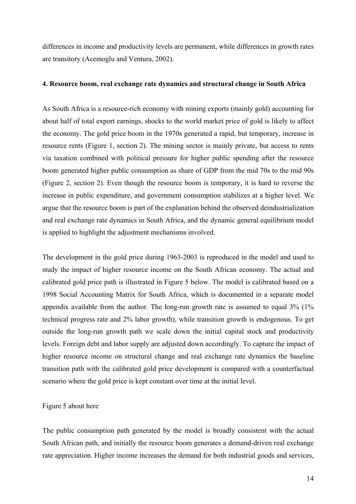differences in income and productivity levels are permanent, while differences in growth rates are transitory (Acemoglu and Ventura, 2002).

## **4. Resource boom, real exchange rate dynamics and structural change in South Africa**

As South Africa is a resource-rich economy with mining exports (mainly gold) accounting for about half of total export earnings, shocks to the world market price of gold is likely to affect the economy. The gold price boom in the 1970s generated a rapid, but temporary, increase in resource rents (Figure 1, section 2). The mining sector is mainly private, but access to rents via taxation combined with political pressure for higher public spending after the resource boom generated higher public consumption as share of GDP from the mid 70s to the mid 90s (Figure 2, section 2). Even though the resource boom is temporary, it is hard to reverse the increase in public expenditure, and government consumption stabilizes at a higher level. We argue that the resource boom is part of the explanation behind the observed deindustrialization and real exchange rate dynamics in South Africa, and the dynamic general equilibrium model is applied to highlight the adjustment mechanisms involved.

The development in the gold price during 1963-2003 is reproduced in the model and used to study the impact of higher resource income on the South African economy. The actual and calibrated gold price path is illustrated in Figure 5 below. The model is calibrated based on a 1998 Social Accounting Matrix for South Africa, which is documented in a separate model appendix available from the author. The long-run growth rate is assumed to equal  $3\%$  (1%) technical progress rate and 2% labor growth), while transition growth is endogenous. To get outside the long-run growth path we scale down the initial capital stock and productivity levels. Foreign debt and labor supply are adjusted down accordingly. To capture the impact of higher resource income on structural change and real exchange rate dynamics the baseline transition path with the calibrated gold price development is compared with a counterfactual scenario where the gold price is kept constant over time at the initial level.

#### Figure 5 about here

The public consumption path generated by the model is broadly consistent with the actual South African path, and initially the resource boom generates a demand-driven real exchange rate appreciation. Higher income increases the demand for both industrial goods and services,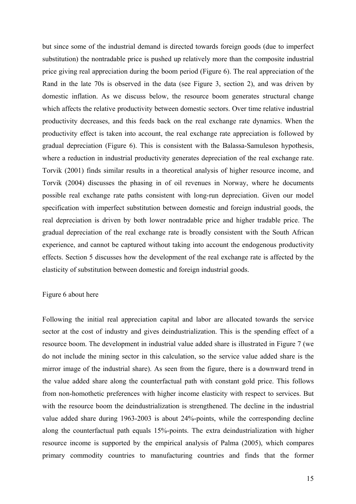but since some of the industrial demand is directed towards foreign goods (due to imperfect substitution) the nontradable price is pushed up relatively more than the composite industrial price giving real appreciation during the boom period (Figure 6). The real appreciation of the Rand in the late 70s is observed in the data (see Figure 3, section 2), and was driven by domestic inflation. As we discuss below, the resource boom generates structural change which affects the relative productivity between domestic sectors. Over time relative industrial productivity decreases, and this feeds back on the real exchange rate dynamics. When the productivity effect is taken into account, the real exchange rate appreciation is followed by gradual depreciation (Figure 6). This is consistent with the Balassa-Samuleson hypothesis, where a reduction in industrial productivity generates depreciation of the real exchange rate. Torvik (2001) finds similar results in a theoretical analysis of higher resource income, and Torvik (2004) discusses the phasing in of oil revenues in Norway, where he documents possible real exchange rate paths consistent with long-run depreciation. Given our model specification with imperfect substitution between domestic and foreign industrial goods, the real depreciation is driven by both lower nontradable price and higher tradable price. The gradual depreciation of the real exchange rate is broadly consistent with the South African experience, and cannot be captured without taking into account the endogenous productivity effects. Section 5 discusses how the development of the real exchange rate is affected by the elasticity of substitution between domestic and foreign industrial goods.

#### Figure 6 about here

Following the initial real appreciation capital and labor are allocated towards the service sector at the cost of industry and gives deindustrialization. This is the spending effect of a resource boom. The development in industrial value added share is illustrated in Figure 7 (we do not include the mining sector in this calculation, so the service value added share is the mirror image of the industrial share). As seen from the figure, there is a downward trend in the value added share along the counterfactual path with constant gold price. This follows from non-homothetic preferences with higher income elasticity with respect to services. But with the resource boom the deindustrialization is strengthened. The decline in the industrial value added share during 1963-2003 is about 24%-points, while the corresponding decline along the counterfactual path equals 15%-points. The extra deindustrialization with higher resource income is supported by the empirical analysis of Palma (2005), which compares primary commodity countries to manufacturing countries and finds that the former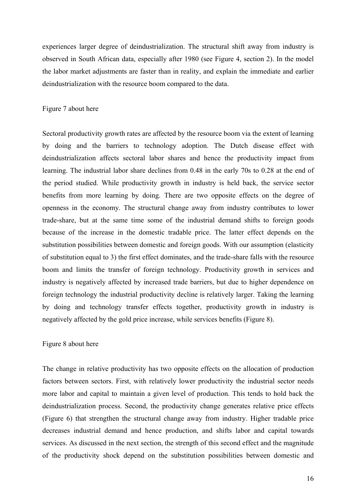experiences larger degree of deindustrialization. The structural shift away from industry is observed in South African data, especially after 1980 (see Figure 4, section 2). In the model the labor market adjustments are faster than in reality, and explain the immediate and earlier deindustrialization with the resource boom compared to the data.

## Figure 7 about here

Sectoral productivity growth rates are affected by the resource boom via the extent of learning by doing and the barriers to technology adoption. The Dutch disease effect with deindustrialization affects sectoral labor shares and hence the productivity impact from learning. The industrial labor share declines from 0.48 in the early 70s to 0.28 at the end of the period studied. While productivity growth in industry is held back, the service sector benefits from more learning by doing. There are two opposite effects on the degree of openness in the economy. The structural change away from industry contributes to lower trade-share, but at the same time some of the industrial demand shifts to foreign goods because of the increase in the domestic tradable price. The latter effect depends on the substitution possibilities between domestic and foreign goods. With our assumption (elasticity of substitution equal to 3) the first effect dominates, and the trade-share falls with the resource boom and limits the transfer of foreign technology. Productivity growth in services and industry is negatively affected by increased trade barriers, but due to higher dependence on foreign technology the industrial productivity decline is relatively larger. Taking the learning by doing and technology transfer effects together, productivity growth in industry is negatively affected by the gold price increase, while services benefits (Figure 8).

#### Figure 8 about here

The change in relative productivity has two opposite effects on the allocation of production factors between sectors. First, with relatively lower productivity the industrial sector needs more labor and capital to maintain a given level of production. This tends to hold back the deindustrialization process. Second, the productivity change generates relative price effects (Figure 6) that strengthen the structural change away from industry. Higher tradable price decreases industrial demand and hence production, and shifts labor and capital towards services. As discussed in the next section, the strength of this second effect and the magnitude of the productivity shock depend on the substitution possibilities between domestic and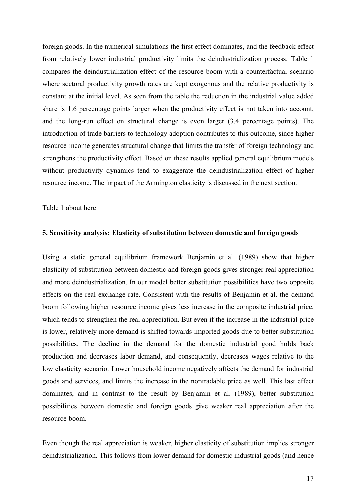foreign goods. In the numerical simulations the first effect dominates, and the feedback effect from relatively lower industrial productivity limits the deindustrialization process. Table 1 compares the deindustrialization effect of the resource boom with a counterfactual scenario where sectoral productivity growth rates are kept exogenous and the relative productivity is constant at the initial level. As seen from the table the reduction in the industrial value added share is 1.6 percentage points larger when the productivity effect is not taken into account, and the long-run effect on structural change is even larger (3.4 percentage points). The introduction of trade barriers to technology adoption contributes to this outcome, since higher resource income generates structural change that limits the transfer of foreign technology and strengthens the productivity effect. Based on these results applied general equilibrium models without productivity dynamics tend to exaggerate the deindustrialization effect of higher resource income. The impact of the Armington elasticity is discussed in the next section.

Table 1 about here

# **5. Sensitivity analysis: Elasticity of substitution between domestic and foreign goods**

Using a static general equilibrium framework Benjamin et al. (1989) show that higher elasticity of substitution between domestic and foreign goods gives stronger real appreciation and more deindustrialization. In our model better substitution possibilities have two opposite effects on the real exchange rate. Consistent with the results of Benjamin et al. the demand boom following higher resource income gives less increase in the composite industrial price, which tends to strengthen the real appreciation. But even if the increase in the industrial price is lower, relatively more demand is shifted towards imported goods due to better substitution possibilities. The decline in the demand for the domestic industrial good holds back production and decreases labor demand, and consequently, decreases wages relative to the low elasticity scenario. Lower household income negatively affects the demand for industrial goods and services, and limits the increase in the nontradable price as well. This last effect dominates, and in contrast to the result by Benjamin et al. (1989), better substitution possibilities between domestic and foreign goods give weaker real appreciation after the resource boom.

Even though the real appreciation is weaker, higher elasticity of substitution implies stronger deindustrialization. This follows from lower demand for domestic industrial goods (and hence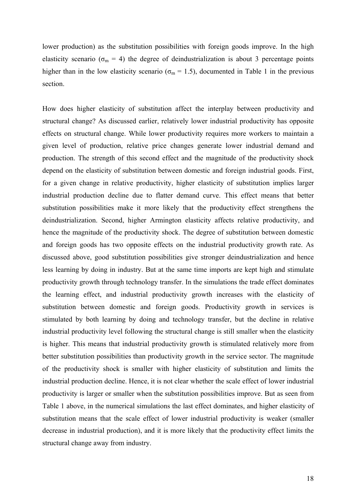lower production) as the substitution possibilities with foreign goods improve. In the high elasticity scenario ( $\sigma_m$  = 4) the degree of deindustrialization is about 3 percentage points higher than in the low elasticity scenario ( $\sigma_m$  = 1.5), documented in Table 1 in the previous section.

How does higher elasticity of substitution affect the interplay between productivity and structural change? As discussed earlier, relatively lower industrial productivity has opposite effects on structural change. While lower productivity requires more workers to maintain a given level of production, relative price changes generate lower industrial demand and production. The strength of this second effect and the magnitude of the productivity shock depend on the elasticity of substitution between domestic and foreign industrial goods. First, for a given change in relative productivity, higher elasticity of substitution implies larger industrial production decline due to flatter demand curve. This effect means that better substitution possibilities make it more likely that the productivity effect strengthens the deindustrialization. Second, higher Armington elasticity affects relative productivity, and hence the magnitude of the productivity shock. The degree of substitution between domestic and foreign goods has two opposite effects on the industrial productivity growth rate. As discussed above, good substitution possibilities give stronger deindustrialization and hence less learning by doing in industry. But at the same time imports are kept high and stimulate productivity growth through technology transfer. In the simulations the trade effect dominates the learning effect, and industrial productivity growth increases with the elasticity of substitution between domestic and foreign goods. Productivity growth in services is stimulated by both learning by doing and technology transfer, but the decline in relative industrial productivity level following the structural change is still smaller when the elasticity is higher. This means that industrial productivity growth is stimulated relatively more from better substitution possibilities than productivity growth in the service sector. The magnitude of the productivity shock is smaller with higher elasticity of substitution and limits the industrial production decline. Hence, it is not clear whether the scale effect of lower industrial productivity is larger or smaller when the substitution possibilities improve. But as seen from Table 1 above, in the numerical simulations the last effect dominates, and higher elasticity of substitution means that the scale effect of lower industrial productivity is weaker (smaller decrease in industrial production), and it is more likely that the productivity effect limits the structural change away from industry.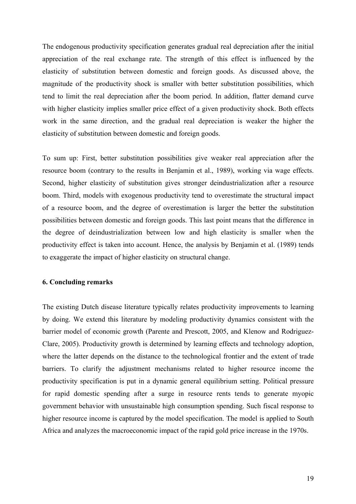The endogenous productivity specification generates gradual real depreciation after the initial appreciation of the real exchange rate. The strength of this effect is influenced by the elasticity of substitution between domestic and foreign goods. As discussed above, the magnitude of the productivity shock is smaller with better substitution possibilities, which tend to limit the real depreciation after the boom period. In addition, flatter demand curve with higher elasticity implies smaller price effect of a given productivity shock. Both effects work in the same direction, and the gradual real depreciation is weaker the higher the elasticity of substitution between domestic and foreign goods.

To sum up: First, better substitution possibilities give weaker real appreciation after the resource boom (contrary to the results in Benjamin et al., 1989), working via wage effects. Second, higher elasticity of substitution gives stronger deindustrialization after a resource boom. Third, models with exogenous productivity tend to overestimate the structural impact of a resource boom, and the degree of overestimation is larger the better the substitution possibilities between domestic and foreign goods. This last point means that the difference in the degree of deindustrialization between low and high elasticity is smaller when the productivity effect is taken into account. Hence, the analysis by Benjamin et al. (1989) tends to exaggerate the impact of higher elasticity on structural change.

# **6. Concluding remarks**

The existing Dutch disease literature typically relates productivity improvements to learning by doing. We extend this literature by modeling productivity dynamics consistent with the barrier model of economic growth (Parente and Prescott, 2005, and Klenow and Rodriguez-Clare, 2005). Productivity growth is determined by learning effects and technology adoption, where the latter depends on the distance to the technological frontier and the extent of trade barriers. To clarify the adjustment mechanisms related to higher resource income the productivity specification is put in a dynamic general equilibrium setting. Political pressure for rapid domestic spending after a surge in resource rents tends to generate myopic government behavior with unsustainable high consumption spending. Such fiscal response to higher resource income is captured by the model specification. The model is applied to South Africa and analyzes the macroeconomic impact of the rapid gold price increase in the 1970s.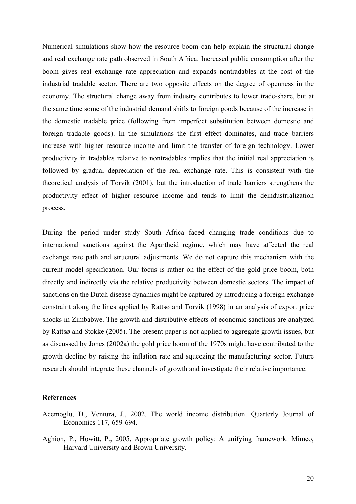Numerical simulations show how the resource boom can help explain the structural change and real exchange rate path observed in South Africa. Increased public consumption after the boom gives real exchange rate appreciation and expands nontradables at the cost of the industrial tradable sector. There are two opposite effects on the degree of openness in the economy. The structural change away from industry contributes to lower trade-share, but at the same time some of the industrial demand shifts to foreign goods because of the increase in the domestic tradable price (following from imperfect substitution between domestic and foreign tradable goods). In the simulations the first effect dominates, and trade barriers increase with higher resource income and limit the transfer of foreign technology. Lower productivity in tradables relative to nontradables implies that the initial real appreciation is followed by gradual depreciation of the real exchange rate. This is consistent with the theoretical analysis of Torvik (2001), but the introduction of trade barriers strengthens the productivity effect of higher resource income and tends to limit the deindustrialization process.

During the period under study South Africa faced changing trade conditions due to international sanctions against the Apartheid regime, which may have affected the real exchange rate path and structural adjustments. We do not capture this mechanism with the current model specification. Our focus is rather on the effect of the gold price boom, both directly and indirectly via the relative productivity between domestic sectors. The impact of sanctions on the Dutch disease dynamics might be captured by introducing a foreign exchange constraint along the lines applied by Rattsø and Torvik (1998) in an analysis of export price shocks in Zimbabwe. The growth and distributive effects of economic sanctions are analyzed by Rattsø and Stokke (2005). The present paper is not applied to aggregate growth issues, but as discussed by Jones (2002a) the gold price boom of the 1970s might have contributed to the growth decline by raising the inflation rate and squeezing the manufacturing sector. Future research should integrate these channels of growth and investigate their relative importance.

## **References**

- Acemoglu, D., Ventura, J., 2002. The world income distribution. Quarterly Journal of Economics 117, 659-694.
- Aghion, P., Howitt, P., 2005. Appropriate growth policy: A unifying framework. Mimeo, Harvard University and Brown University.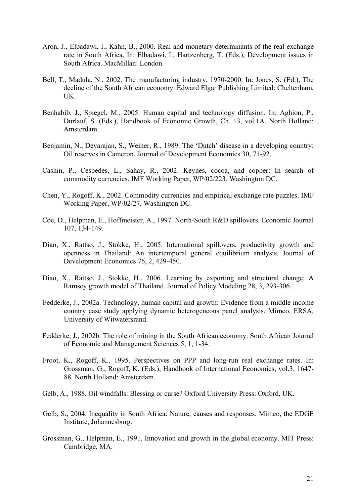- Aron, J., Elbadawi, I., Kahn, B., 2000. Real and monetary determinants of the real exchange rate in South Africa. In: Elbadawi, I., Hartzenberg, T. (Eds.), Development issues in South Africa. MacMillan: London.
- Bell, T., Madula, N., 2002. The manufacturing industry, 1970-2000. In: Jones, S. (Ed.), The decline of the South African economy. Edward Elgar Publishing Limited: Cheltenham, UK.
- Benhabib, J., Spiegel, M., 2005. Human capital and technology diffusion. In: Aghion, P., Durlauf, S. (Eds.), Handbook of Economic Growth, Ch. 13, vol.1A. North Holland: Amsterdam.
- Benjamin, N., Devarajan, S., Weiner, R., 1989. The 'Dutch' disease in a developing country: Oil reserves in Cameron. Journal of Development Economics 30, 71-92.
- Cashin, P., Cespedes, L., Sahay, R., 2002. Keynes, cocoa, and copper: In search of commodity currencies. IMF Working Paper, WP/02/223, Washington DC.
- Chen, Y., Rogoff, K., 2002. Commodity currencies and empirical exchange rate puzzles. IMF Working Paper, WP/02/27, Washington DC.
- Coe, D., Helpman, E., Hoffmeister, A., 1997. North-South R&D spillovers. Economic Journal 107, 134-149.
- Diao, X., Rattsø, J., Stokke, H., 2005. International spillovers, productivity growth and openness in Thailand: An intertemporal general equilibrium analysis. Journal of Development Economics 76, 2, 429-450.
- Diao, X., Rattsø, J., Stokke, H., 2006. Learning by exporting and structural change: A Ramsey growth model of Thailand. Journal of Policy Modeling 28, 3, 293-306.
- Fedderke, J., 2002a. Technology, human capital and growth: Evidence from a middle income country case study applying dynamic heterogeneous panel analysis. Mimeo, ERSA, University of Witwatersrand.
- Fedderke, J., 2002b. The role of mining in the South African economy. South African Journal of Economic and Management Sciences 5, 1, 1-34.
- Froot, K., Rogoff, K., 1995. Perspectives on PPP and long-run real exchange rates. In: Grossman, G., Rogoff, K. (Eds.), Handbook of International Economics, vol.3, 1647- 88. North Holland: Amsterdam.
- Gelb, A., 1988. Oil windfalls: Blessing or curse? Oxford University Press: Oxford, UK.
- Gelb, S., 2004. Inequality in South Africa: Nature, causes and responses. Mimeo, the EDGE Institute, Johannesburg.
- Grossman, G., Helpman, E., 1991. Innovation and growth in the global economy. MIT Press: Cambridge, MA.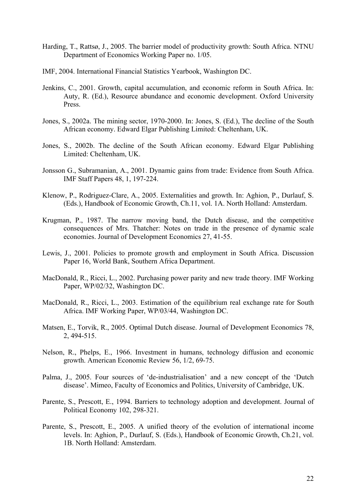- Harding, T., Rattsø, J., 2005. The barrier model of productivity growth: South Africa. NTNU Department of Economics Working Paper no. 1/05.
- IMF, 2004. International Financial Statistics Yearbook, Washington DC.
- Jenkins, C., 2001. Growth, capital accumulation, and economic reform in South Africa. In: Auty, R. (Ed.), Resource abundance and economic development. Oxford University Press.
- Jones, S., 2002a. The mining sector, 1970-2000. In: Jones, S. (Ed.), The decline of the South African economy. Edward Elgar Publishing Limited: Cheltenham, UK.
- Jones, S., 2002b. The decline of the South African economy. Edward Elgar Publishing Limited: Cheltenham, UK.
- Jonsson G., Subramanian, A., 2001. Dynamic gains from trade: Evidence from South Africa. IMF Staff Papers 48, 1, 197-224.
- Klenow, P., Rodriguez-Clare, A., 2005. Externalities and growth. In: Aghion, P., Durlauf, S. (Eds.), Handbook of Economic Growth, Ch.11, vol. 1A. North Holland: Amsterdam.
- Krugman, P., 1987. The narrow moving band, the Dutch disease, and the competitive consequences of Mrs. Thatcher: Notes on trade in the presence of dynamic scale economies. Journal of Development Economics 27, 41-55.
- Lewis, J., 2001. Policies to promote growth and employment in South Africa. Discussion Paper 16, World Bank, Southern Africa Department.
- MacDonald, R., Ricci, L., 2002. Purchasing power parity and new trade theory. IMF Working Paper, WP/02/32, Washington DC.
- MacDonald, R., Ricci, L., 2003. Estimation of the equilibrium real exchange rate for South Africa. IMF Working Paper, WP/03/44, Washington DC.
- Matsen, E., Torvik, R., 2005. Optimal Dutch disease. Journal of Development Economics 78, 2, 494-515.
- Nelson, R., Phelps, E., 1966. Investment in humans, technology diffusion and economic growth. American Economic Review 56, 1/2, 69-75.
- Palma, J., 2005. Four sources of 'de-industrialisation' and a new concept of the 'Dutch disease'. Mimeo, Faculty of Economics and Politics, University of Cambridge, UK.
- Parente, S., Prescott, E., 1994. Barriers to technology adoption and development. Journal of Political Economy 102, 298-321.
- Parente, S., Prescott, E., 2005. A unified theory of the evolution of international income levels. In: Aghion, P., Durlauf, S. (Eds.), Handbook of Economic Growth, Ch.21, vol. 1B. North Holland: Amsterdam.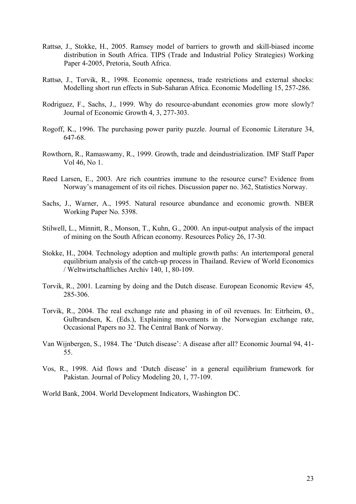- Rattsø, J., Stokke, H., 2005. Ramsey model of barriers to growth and skill-biased income distribution in South Africa. TIPS (Trade and Industrial Policy Strategies) Working Paper 4-2005, Pretoria, South Africa.
- Rattsø, J., Torvik, R., 1998. Economic openness, trade restrictions and external shocks: Modelling short run effects in Sub-Saharan Africa. Economic Modelling 15, 257-286.
- Rodriguez, F., Sachs, J., 1999. Why do resource-abundant economies grow more slowly? Journal of Economic Growth 4, 3, 277-303.
- Rogoff, K., 1996. The purchasing power parity puzzle. Journal of Economic Literature 34, 647-68.
- Rowthorn, R., Ramaswamy, R., 1999. Growth, trade and deindustrialization. IMF Staff Paper Vol 46, No 1.
- Røed Larsen, E., 2003. Are rich countries immune to the resource curse? Evidence from Norway's management of its oil riches. Discussion paper no. 362, Statistics Norway.
- Sachs, J., Warner, A., 1995. Natural resource abundance and economic growth. NBER Working Paper No. 5398.
- Stilwell, L., Minnitt, R., Monson, T., Kuhn, G., 2000. An input-output analysis of the impact of mining on the South African economy. Resources Policy 26, 17-30.
- Stokke, H., 2004. Technology adoption and multiple growth paths: An intertemporal general equilibrium analysis of the catch-up process in Thailand. Review of World Economics / Weltwirtschaftliches Archiv 140, 1, 80-109.
- Torvik, R., 2001. Learning by doing and the Dutch disease. European Economic Review 45, 285-306.
- Torvik, R., 2004. The real exchange rate and phasing in of oil revenues. In: Eitrheim, Ø., Gulbrandsen, K. (Eds.), Explaining movements in the Norwegian exchange rate, Occasional Papers no 32. The Central Bank of Norway.
- Van Wijnbergen, S., 1984. The 'Dutch disease': A disease after all? Economic Journal 94, 41- 55.
- Vos, R., 1998. Aid flows and 'Dutch disease' in a general equilibrium framework for Pakistan. Journal of Policy Modeling 20, 1, 77-109.

World Bank, 2004. World Development Indicators, Washington DC.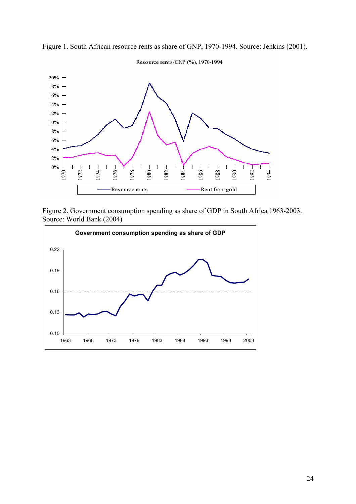

Figure 1. South African resource rents as share of GNP, 1970-1994. Source: Jenkins (2001).

Figure 2. Government consumption spending as share of GDP in South Africa 1963-2003. Source: World Bank (2004)

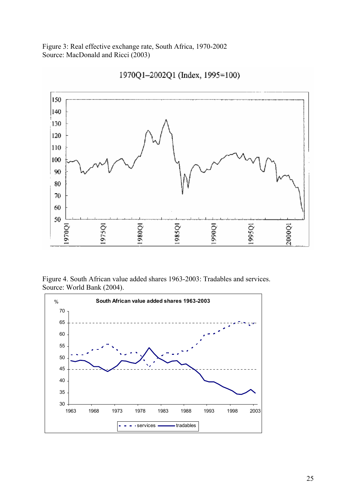Figure 3: Real effective exchange rate, South Africa, 1970-2002 Source: MacDonald and Ricci (2003)



1970Q1-2002Q1 (Index, 1995=100)

Figure 4. South African value added shares 1963-2003: Tradables and services. Source: World Bank (2004).

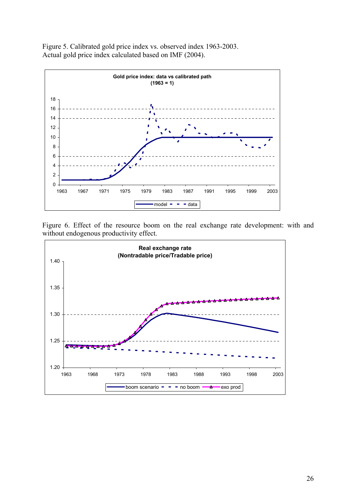

Figure 5. Calibrated gold price index vs. observed index 1963-2003. Actual gold price index calculated based on IMF (2004).

Figure 6. Effect of the resource boom on the real exchange rate development: with and without endogenous productivity effect.